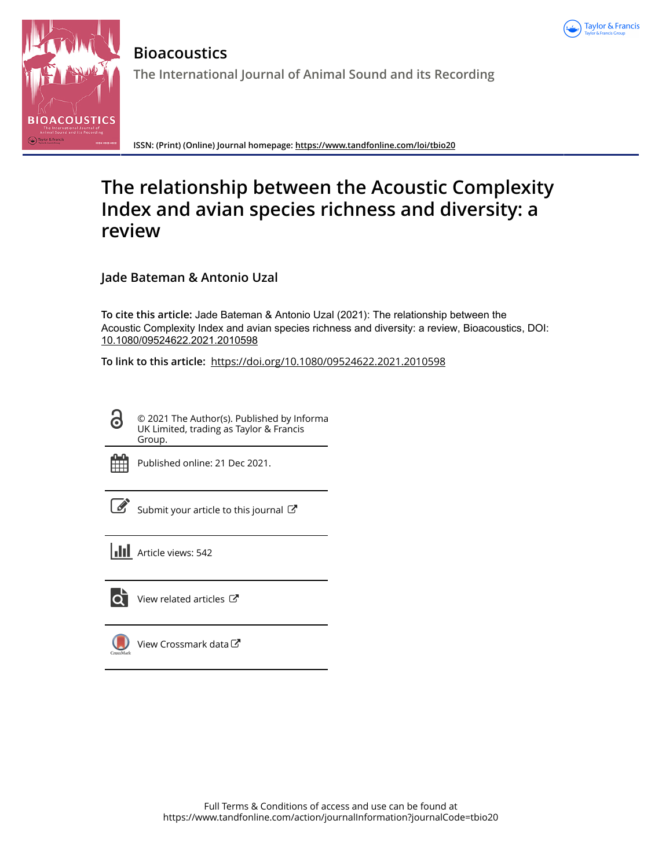



**Bioacoustics The International Journal of Animal Sound and its Recording**

**ISSN: (Print) (Online) Journal homepage:<https://www.tandfonline.com/loi/tbio20>**

# **The relationship between the Acoustic Complexity Index and avian species richness and diversity: a review**

**Jade Bateman & Antonio Uzal**

**To cite this article:** Jade Bateman & Antonio Uzal (2021): The relationship between the Acoustic Complexity Index and avian species richness and diversity: a review, Bioacoustics, DOI: [10.1080/09524622.2021.2010598](https://www.tandfonline.com/action/showCitFormats?doi=10.1080/09524622.2021.2010598)

**To link to this article:** <https://doi.org/10.1080/09524622.2021.2010598>

© 2021 The Author(s). Published by Informa UK Limited, trading as Taylor & Francis Group.



 $\bullet$ 

Published online: 21 Dec 2021.

[Submit your article to this journal](https://www.tandfonline.com/action/authorSubmission?journalCode=tbio20&show=instructions)  $\mathbb{Z}$ 

**III** Article views: 542



 $\overline{\mathbf{Q}}$  [View related articles](https://www.tandfonline.com/doi/mlt/10.1080/09524622.2021.2010598)  $\mathbf{C}$ 

[View Crossmark data](http://crossmark.crossref.org/dialog/?doi=10.1080/09524622.2021.2010598&domain=pdf&date_stamp=2021-12-21) $\mathbb{Z}$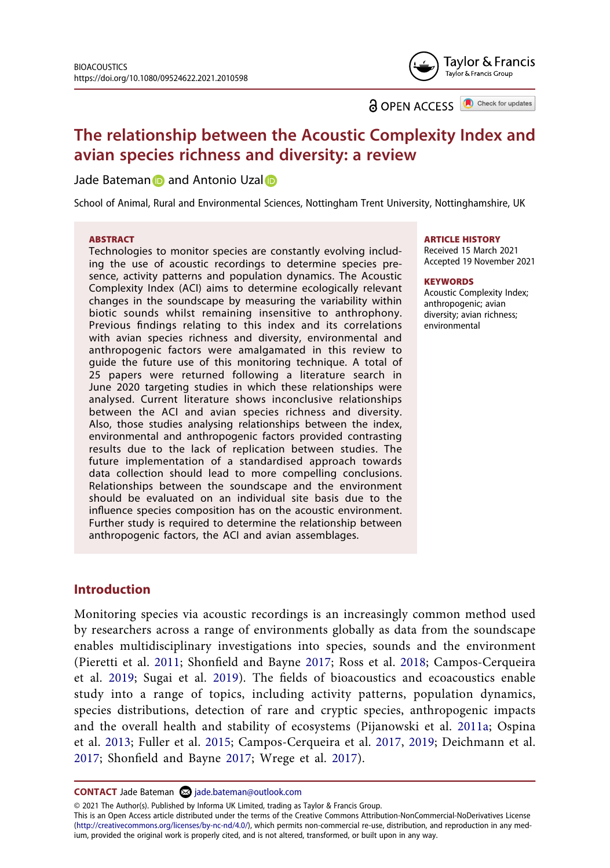

**a** OPEN ACCESS **a** Check for updates

# **The relationship between the Acoustic Complexity Index and avian species richness and diversity: a review**

Jade Batema[n](http://orcid.org/0000-0002-6904-7128) **and Antonio Uza[l](http://orcid.org/0000-0001-6478-1895) a** 

School of Animal, Rural and Environmental Sciences, Nottingham Trent University, Nottinghamshire, UK

#### **ABSTRACT**

Technologies to monitor species are constantly evolving including the use of acoustic recordings to determine species presence, activity patterns and population dynamics. The Acoustic Complexity Index (ACI) aims to determine ecologically relevant changes in the soundscape by measuring the variability within biotic sounds whilst remaining insensitive to anthrophony. Previous findings relating to this index and its correlations with avian species richness and diversity, environmental and anthropogenic factors were amalgamated in this review to guide the future use of this monitoring technique. A total of 25 papers were returned following a literature search in June 2020 targeting studies in which these relationships were analysed. Current literature shows inconclusive relationships between the ACI and avian species richness and diversity. Also, those studies analysing relationships between the index, environmental and anthropogenic factors provided contrasting results due to the lack of replication between studies. The future implementation of a standardised approach towards data collection should lead to more compelling conclusions. Relationships between the soundscape and the environment should be evaluated on an individual site basis due to the influence species composition has on the acoustic environment. Further study is required to determine the relationship between anthropogenic factors, the ACI and avian assemblages.

#### **ARTICLE HISTORY**

Received 15 March 2021 Accepted 19 November 2021

#### **KEYWORDS**

Acoustic Complexity Index; anthropogenic; avian diversity; avian richness; environmental

# **Introduction**

<span id="page-1-4"></span><span id="page-1-1"></span>Monitoring species via acoustic recordings is an increasingly common method used by researchers across a range of environments globally as data from the soundscape enables multidisciplinary investigations into species, sounds and the environment (Pieretti et al. [2011;](#page-13-0) Shonfield and Bayne [2017;](#page-13-1) Ross et al. [2018;](#page-13-2) Campos-Cerqueira et al. [2019;](#page-11-0) Sugai et al. [2019\)](#page-13-3). The fields of bioacoustics and ecoacoustics enable study into a range of topics, including activity patterns, population dynamics, species distributions, detection of rare and cryptic species, anthropogenic impacts and the overall health and stability of ecosystems (Pijanowski et al. [2011a](#page-13-4); Ospina et al. [2013;](#page-13-5) Fuller et al. [2015;](#page-12-0) Campos-Cerqueira et al. [2017,](#page-11-1) [2019](#page-11-0); Deichmann et al. [2017;](#page-11-2) Shonfield and Bayne [2017](#page-13-1); Wrege et al. [2017](#page-13-6)).

<span id="page-1-3"></span><span id="page-1-2"></span><span id="page-1-0"></span>**CONTACT** Jade Bateman 2 jade.bateman@outlook.com

© 2021 The Author(s). Published by Informa UK Limited, trading as Taylor & Francis Group.

This is an Open Access article distributed under the terms of the Creative Commons Attribution-NonCommercial-NoDerivatives License (http://creativecommons.org/licenses/by-nc-nd/4.0/), which permits non-commercial re-use, distribution, and reproduction in any medium, provided the original work is properly cited, and is not altered, transformed, or built upon in any way.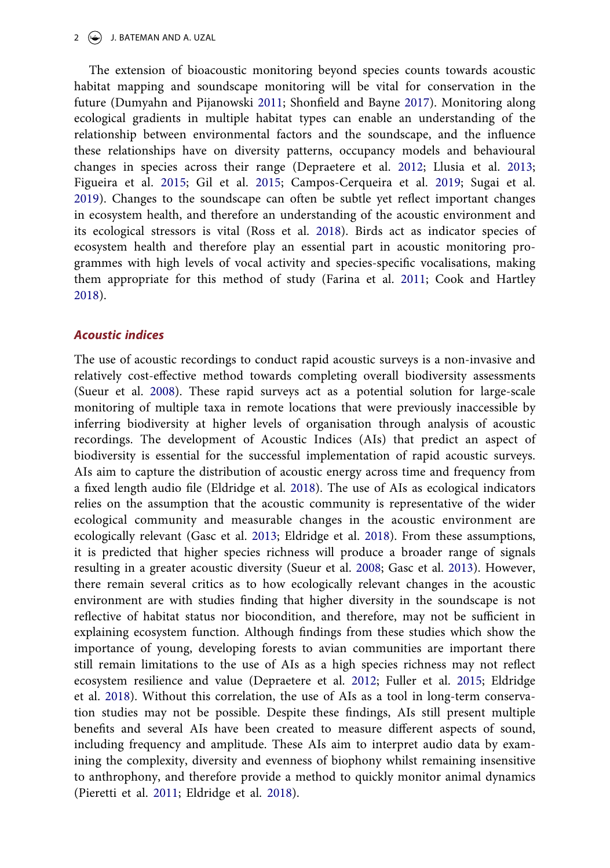#### 2  $\leftrightarrow$  J. BATEMAN AND A. UZAL

<span id="page-2-6"></span><span id="page-2-4"></span><span id="page-2-2"></span>The extension of bioacoustic monitoring beyond species counts towards acoustic habitat mapping and soundscape monitoring will be vital for conservation in the future (Dumyahn and Pijanowski [2011;](#page-11-3) Shonfield and Bayne [2017](#page-13-1)). Monitoring along ecological gradients in multiple habitat types can enable an understanding of the relationship between environmental factors and the soundscape, and the influence these relationships have on diversity patterns, occupancy models and behavioural changes in species across their range (Depraetere et al. [2012](#page-11-4); Llusia et al. [2013;](#page-12-1) Figueira et al. [2015;](#page-12-2) Gil et al. [2015](#page-12-3); Campos-Cerqueira et al. [2019;](#page-11-0) Sugai et al. [2019](#page-13-3)). Changes to the soundscape can often be subtle yet reflect important changes in ecosystem health, and therefore an understanding of the acoustic environment and its ecological stressors is vital (Ross et al. [2018\)](#page-13-2). Birds act as indicator species of ecosystem health and therefore play an essential part in acoustic monitoring programmes with high levels of vocal activity and species-specific vocalisations, making them appropriate for this method of study (Farina et al. [2011](#page-12-4); Cook and Hartley [2018](#page-11-5)).

# <span id="page-2-0"></span>*Acoustic indices*

<span id="page-2-5"></span><span id="page-2-3"></span><span id="page-2-1"></span>The use of acoustic recordings to conduct rapid acoustic surveys is a non-invasive and relatively cost-effective method towards completing overall biodiversity assessments (Sueur et al. [2008\)](#page-13-7). These rapid surveys act as a potential solution for large-scale monitoring of multiple taxa in remote locations that were previously inaccessible by inferring biodiversity at higher levels of organisation through analysis of acoustic recordings. The development of Acoustic Indices (AIs) that predict an aspect of biodiversity is essential for the successful implementation of rapid acoustic surveys. AIs aim to capture the distribution of acoustic energy across time and frequency from a fixed length audio file (Eldridge et al. [2018](#page-11-6)). The use of AIs as ecological indicators relies on the assumption that the acoustic community is representative of the wider ecological community and measurable changes in the acoustic environment are ecologically relevant (Gasc et al. [2013;](#page-12-5) Eldridge et al. [2018](#page-11-6)). From these assumptions, it is predicted that higher species richness will produce a broader range of signals resulting in a greater acoustic diversity (Sueur et al. [2008](#page-13-7); Gasc et al. [2013\)](#page-12-5). However, there remain several critics as to how ecologically relevant changes in the acoustic environment are with studies finding that higher diversity in the soundscape is not reflective of habitat status nor biocondition, and therefore, may not be sufficient in explaining ecosystem function. Although findings from these studies which show the importance of young, developing forests to avian communities are important there still remain limitations to the use of AIs as a high species richness may not reflect ecosystem resilience and value (Depraetere et al. [2012;](#page-11-4) Fuller et al. [2015;](#page-12-0) Eldridge et al. [2018](#page-11-6)). Without this correlation, the use of AIs as a tool in long-term conservation studies may not be possible. Despite these findings, AIs still present multiple benefits and several AIs have been created to measure different aspects of sound, including frequency and amplitude. These AIs aim to interpret audio data by examining the complexity, diversity and evenness of biophony whilst remaining insensitive to anthrophony, and therefore provide a method to quickly monitor animal dynamics (Pieretti et al. [2011](#page-13-0); Eldridge et al. [2018](#page-11-6)).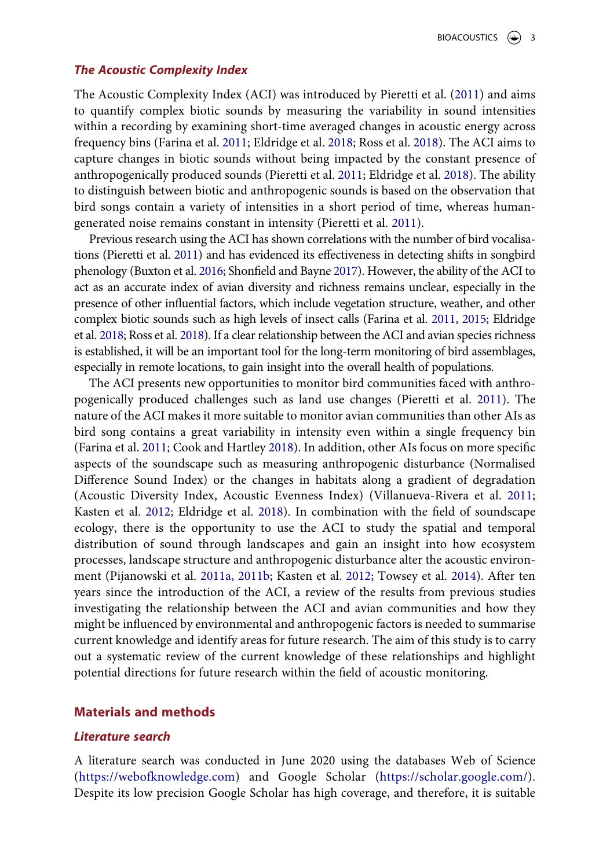### *The Acoustic Complexity Index*

The Acoustic Complexity Index (ACI) was introduced by Pieretti et al. ([2011](#page-13-0)) and aims to quantify complex biotic sounds by measuring the variability in sound intensities within a recording by examining short-time averaged changes in acoustic energy across frequency bins (Farina et al. [2011](#page-12-4); Eldridge et al. [2018;](#page-11-6) Ross et al. [2018\)](#page-13-2). The ACI aims to capture changes in biotic sounds without being impacted by the constant presence of anthropogenically produced sounds (Pieretti et al. [2011;](#page-13-0) Eldridge et al. [2018](#page-11-6)). The ability to distinguish between biotic and anthropogenic sounds is based on the observation that bird songs contain a variety of intensities in a short period of time, whereas humangenerated noise remains constant in intensity (Pieretti et al. [2011](#page-13-0)).

<span id="page-3-0"></span>Previous research using the ACI has shown correlations with the number of bird vocalisations (Pieretti et al. [2011](#page-13-0)) and has evidenced its effectiveness in detecting shifts in songbird phenology (Buxton et al. [2016](#page-11-7); Shonfield and Bayne [2017](#page-13-1)). However, the ability of the ACI to act as an accurate index of avian diversity and richness remains unclear, especially in the presence of other influential factors, which include vegetation structure, weather, and other complex biotic sounds such as high levels of insect calls (Farina et al. [2011,](#page-12-4) [2015](#page-11-8); Eldridge et al. [2018;](#page-11-6) Ross et al. [2018\)](#page-13-2). If a clear relationship between the ACI and avian species richness is established, it will be an important tool for the long-term monitoring of bird assemblages, especially in remote locations, to gain insight into the overall health of populations.

<span id="page-3-3"></span><span id="page-3-1"></span>The ACI presents new opportunities to monitor bird communities faced with anthropogenically produced challenges such as land use changes (Pieretti et al. [2011](#page-13-0)). The nature of the ACI makes it more suitable to monitor avian communities than other AIs as bird song contains a great variability in intensity even within a single frequency bin (Farina et al. [2011](#page-12-4); Cook and Hartley [2018](#page-11-5)). In addition, other AIs focus on more specific aspects of the soundscape such as measuring anthropogenic disturbance (Normalised Difference Sound Index) or the changes in habitats along a gradient of degradation (Acoustic Diversity Index, Acoustic Evenness Index) (Villanueva-Rivera et al. [2011;](#page-13-8) Kasten et al. [2012;](#page-12-6) Eldridge et al. [2018](#page-11-6)). In combination with the field of soundscape ecology, there is the opportunity to use the ACI to study the spatial and temporal distribution of sound through landscapes and gain an insight into how ecosystem processes, landscape structure and anthropogenic disturbance alter the acoustic environment (Pijanowski et al. [2011a](#page-13-4), [2011b](#page-13-9); Kasten et al. [2012](#page-12-6); Towsey et al. [2014](#page-13-10)). After ten years since the introduction of the ACI, a review of the results from previous studies investigating the relationship between the ACI and avian communities and how they might be influenced by environmental and anthropogenic factors is needed to summarise current knowledge and identify areas for future research. The aim of this study is to carry out a systematic review of the current knowledge of these relationships and highlight potential directions for future research within the field of acoustic monitoring.

# <span id="page-3-2"></span>**Materials and methods**

### *Literature search*

A literature search was conducted in June 2020 using the databases Web of Science (<https://webofknowledge.com>) and Google Scholar [\(https://scholar.google.com/\)](https://scholar.google.com/). Despite its low precision Google Scholar has high coverage, and therefore, it is suitable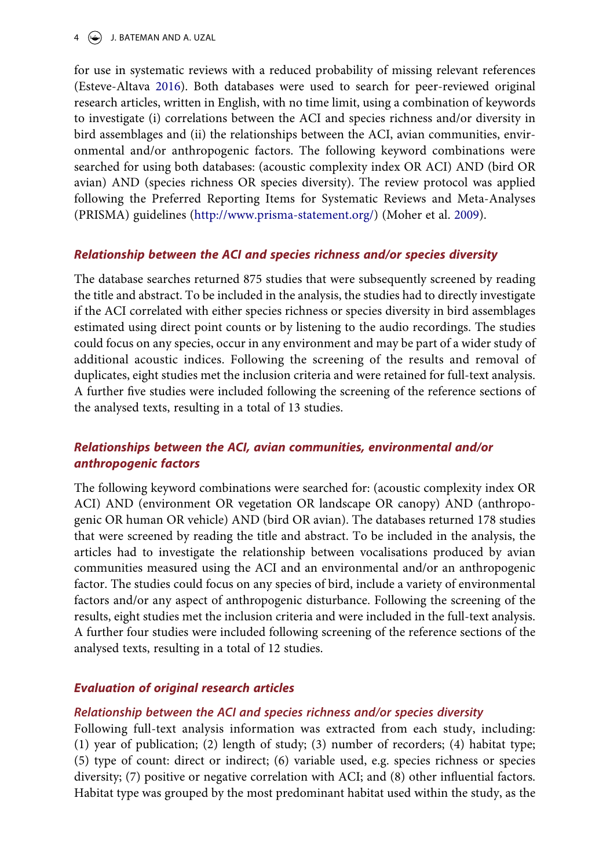# $4 \quad (*)$  J. BATEMAN AND A. UZAL

<span id="page-4-0"></span>for use in systematic reviews with a reduced probability of missing relevant references (Esteve-Altava [2016](#page-11-9)). Both databases were used to search for peer-reviewed original research articles, written in English, with no time limit, using a combination of keywords to investigate (i) correlations between the ACI and species richness and/or diversity in bird assemblages and (ii) the relationships between the ACI, avian communities, environmental and/or anthropogenic factors. The following keyword combinations were searched for using both databases: (acoustic complexity index OR ACI) AND (bird OR avian) AND (species richness OR species diversity). The review protocol was applied following the Preferred Reporting Items for Systematic Reviews and Meta-Analyses (PRISMA) guidelines [\(http://www.prisma-statement.org/](http://www.prisma-statement.org/)) (Moher et al. [2009\)](#page-12-7).

# <span id="page-4-1"></span>*Relationship between the ACI and species richness and/or species diversity*

The database searches returned 875 studies that were subsequently screened by reading the title and abstract. To be included in the analysis, the studies had to directly investigate if the ACI correlated with either species richness or species diversity in bird assemblages estimated using direct point counts or by listening to the audio recordings. The studies could focus on any species, occur in any environment and may be part of a wider study of additional acoustic indices. Following the screening of the results and removal of duplicates, eight studies met the inclusion criteria and were retained for full-text analysis. A further five studies were included following the screening of the reference sections of the analysed texts, resulting in a total of 13 studies.

# *Relationships between the ACI, avian communities, environmental and/or anthropogenic factors*

The following keyword combinations were searched for: (acoustic complexity index OR ACI) AND (environment OR vegetation OR landscape OR canopy) AND (anthropogenic OR human OR vehicle) AND (bird OR avian). The databases returned 178 studies that were screened by reading the title and abstract. To be included in the analysis, the articles had to investigate the relationship between vocalisations produced by avian communities measured using the ACI and an environmental and/or an anthropogenic factor. The studies could focus on any species of bird, include a variety of environmental factors and/or any aspect of anthropogenic disturbance. Following the screening of the results, eight studies met the inclusion criteria and were included in the full-text analysis. A further four studies were included following screening of the reference sections of the analysed texts, resulting in a total of 12 studies.

# *Evaluation of original research articles*

# *Relationship between the ACI and species richness and/or species diversity*

Following full-text analysis information was extracted from each study, including: (1) year of publication; (2) length of study; (3) number of recorders; (4) habitat type; (5) type of count: direct or indirect; (6) variable used, e.g. species richness or species diversity; (7) positive or negative correlation with ACI; and (8) other influential factors. Habitat type was grouped by the most predominant habitat used within the study, as the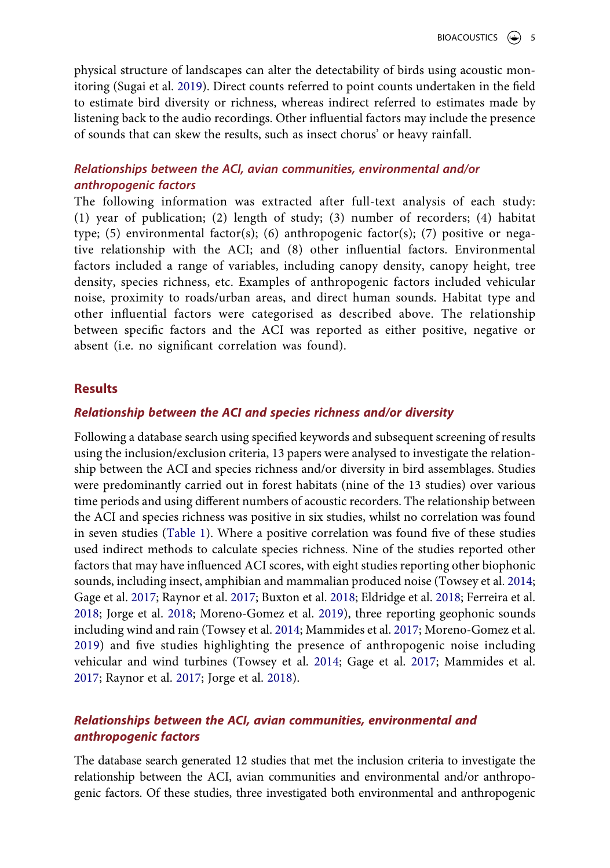physical structure of landscapes can alter the detectability of birds using acoustic monitoring (Sugai et al. [2019\)](#page-13-3). Direct counts referred to point counts undertaken in the field to estimate bird diversity or richness, whereas indirect referred to estimates made by listening back to the audio recordings. Other influential factors may include the presence of sounds that can skew the results, such as insect chorus' or heavy rainfall.

# *Relationships between the ACI, avian communities, environmental and/or anthropogenic factors*

The following information was extracted after full-text analysis of each study: (1) year of publication; (2) length of study; (3) number of recorders; (4) habitat type; (5) environmental factor(s); (6) anthropogenic factor(s); (7) positive or negative relationship with the ACI; and (8) other influential factors. Environmental factors included a range of variables, including canopy density, canopy height, tree density, species richness, etc. Examples of anthropogenic factors included vehicular noise, proximity to roads/urban areas, and direct human sounds. Habitat type and other influential factors were categorised as described above. The relationship between specific factors and the ACI was reported as either positive, negative or absent (i.e. no significant correlation was found).

# **Results**

# *Relationship between the ACI and species richness and/or diversity*

Following a database search using specified keywords and subsequent screening of results using the inclusion/exclusion criteria, 13 papers were analysed to investigate the relationship between the ACI and species richness and/or diversity in bird assemblages. Studies were predominantly carried out in forest habitats (nine of the 13 studies) over various time periods and using different numbers of acoustic recorders. The relationship between the ACI and species richness was positive in six studies, whilst no correlation was found in seven studies ([Table 1\)](#page-6-0). Where a positive correlation was found five of these studies used indirect methods to calculate species richness. Nine of the studies reported other factors that may have influenced ACI scores, with eight studies reporting other biophonic sounds, including insect, amphibian and mammalian produced noise (Towsey et al. [2014;](#page-13-10) Gage et al. [2017](#page-12-8); Raynor et al. [2017;](#page-13-11) Buxton et al. [2018](#page-11-10); Eldridge et al. [2018;](#page-11-6) Ferreira et al. [2018](#page-12-9); Jorge et al. [2018;](#page-12-10) Moreno-Gomez et al. [2019\)](#page-12-11), three reporting geophonic sounds including wind and rain (Towsey et al. [2014;](#page-13-10) Mammides et al. [2017;](#page-12-12) Moreno-Gomez et al. [2019\)](#page-12-11) and five studies highlighting the presence of anthropogenic noise including vehicular and wind turbines (Towsey et al. [2014](#page-13-10); Gage et al. [2017;](#page-12-8) Mammides et al. [2017](#page-12-12); Raynor et al. [2017;](#page-13-11) Jorge et al. [2018](#page-12-10)).

# <span id="page-5-3"></span><span id="page-5-2"></span><span id="page-5-1"></span><span id="page-5-0"></span>*Relationships between the ACI, avian communities, environmental and anthropogenic factors*

The database search generated 12 studies that met the inclusion criteria to investigate the relationship between the ACI, avian communities and environmental and/or anthropogenic factors. Of these studies, three investigated both environmental and anthropogenic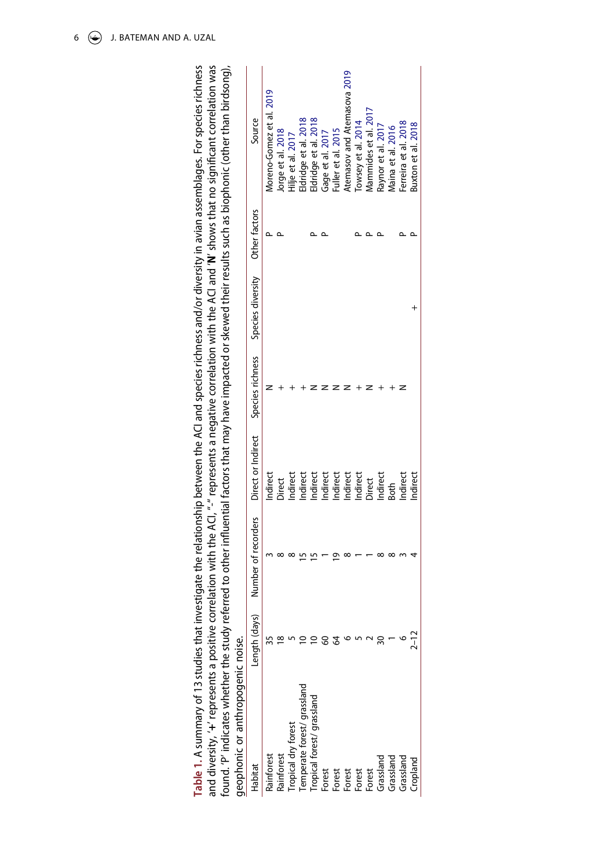<span id="page-6-0"></span>

| and diversity, '+' represents a positive correlation with the ACI, "-" represents a negative correlation with the ACI and 'N' shows that no significant correlation was<br>found. 'P' indicates whether the study | able 1. A summary of 13 studies that inv                                                |  |  | y referred to other influential factors that may have impacted or skewed their results such as biophonic (other than birdsong),<br>westigate the relationship between the ACI and species richness and/or diversity in avian assemblages. For species richness |
|-------------------------------------------------------------------------------------------------------------------------------------------------------------------------------------------------------------------|-----------------------------------------------------------------------------------------|--|--|----------------------------------------------------------------------------------------------------------------------------------------------------------------------------------------------------------------------------------------------------------------|
| geophonic or anthropogenic noise.                                                                                                                                                                                 |                                                                                         |  |  |                                                                                                                                                                                                                                                                |
| Length (days)<br>Habitat                                                                                                                                                                                          | Number of recorders Direct or Indirect Species richness Species diversity Other factors |  |  | Source                                                                                                                                                                                                                                                         |

<span id="page-6-3"></span><span id="page-6-2"></span><span id="page-6-1"></span>

| tabitai                     | Length (days) | Number of recorders | Direct or Indirect                                                             | Species richness | Species diversity | Other factors | Source                      |
|-----------------------------|---------------|---------------------|--------------------------------------------------------------------------------|------------------|-------------------|---------------|-----------------------------|
| Rainforest                  |               |                     | Indirect                                                                       |                  |                   |               | Aoreno-Gomez et al. 2019    |
| Rainforest                  |               |                     | <b>Direct</b>                                                                  |                  |                   |               | lorge et al. 2018           |
| iropical dry forest         |               |                     | Indirect                                                                       |                  |                   |               | Hilje et al. 2017           |
| Temperate forest/ grassland |               |                     |                                                                                |                  |                   |               | Idridge et al. 2018         |
| Tropical forest/ grassland  |               |                     |                                                                                |                  |                   |               | ldridge et al. 2018         |
| Forest                      |               |                     |                                                                                |                  |                   |               | Gage et al. 2017            |
|                             |               |                     |                                                                                |                  |                   |               | uller et al. 2015           |
| Forest<br>Forest<br>Forest  |               |                     |                                                                                |                  |                   |               | Atemasov and Atemasova 2019 |
|                             |               |                     |                                                                                |                  |                   |               | owsey et al. 2014           |
| Forest                      |               |                     |                                                                                |                  |                   |               | Aammides et al. 2017        |
| Grassland                   |               |                     | Indirect<br>Indirect<br>Indirect<br>Indirect<br>Indirect<br>Direct<br>Indirect |                  |                   |               | Raynor et al. 2017          |
| Grassland                   |               |                     |                                                                                |                  |                   |               | Maina et al. 2016           |
| Grassland                   |               |                     | Indirect                                                                       |                  |                   |               | Ferreira et al. 2018        |
| Cropland                    | T             |                     | Indirect                                                                       |                  |                   |               | 3uxton et al. 2018          |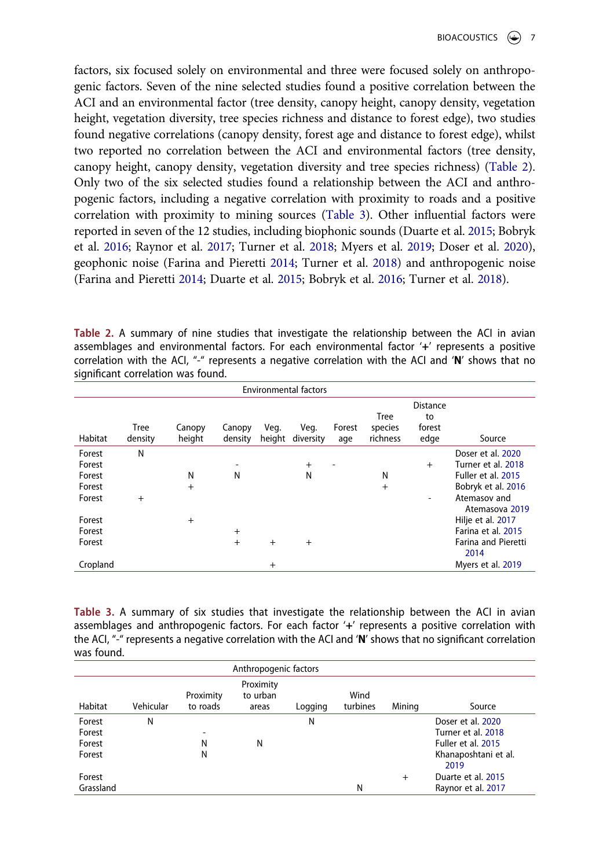factors, six focused solely on environmental and three were focused solely on anthropogenic factors. Seven of the nine selected studies found a positive correlation between the ACI and an environmental factor (tree density, canopy height, canopy density, vegetation height, vegetation diversity, tree species richness and distance to forest edge), two studies found negative correlations (canopy density, forest age and distance to forest edge), whilst two reported no correlation between the ACI and environmental factors (tree density, canopy height, canopy density, vegetation diversity and tree species richness) ([Table 2](#page-7-0)). Only two of the six selected studies found a relationship between the ACI and anthropogenic factors, including a negative correlation with proximity to roads and a positive correlation with proximity to mining sources [\(Table 3\)](#page-7-1). Other influential factors were reported in seven of the 12 studies, including biophonic sounds (Duarte et al. [2015](#page-11-12); Bobryk et al. [2016;](#page-11-13) Raynor et al. [2017](#page-13-11); Turner et al. [2018](#page-13-12); Myers et al. [2019](#page-13-13); Doser et al. [2020](#page-11-14)), geophonic noise (Farina and Pieretti [2014](#page-11-15); Turner et al. [2018](#page-13-12)) and anthropogenic noise (Farina and Pieretti [2014](#page-11-15); Duarte et al. [2015](#page-11-12); Bobryk et al. [2016;](#page-11-13) Turner et al. [2018](#page-13-12)).

<span id="page-7-0"></span>**Table 2.** A summary of nine studies that investigate the relationship between the ACI in avian assemblages and environmental factors. For each environmental factor '**+**' represents a positive correlation with the ACI, "-" represents a negative correlation with the ACI and '**N**' shows that no significant correlation was found.

<span id="page-7-2"></span>

|                                                | <b>Environmental factors</b> |                  |                   |                |                   |               |                                    |                                         |                                                                                                                       |
|------------------------------------------------|------------------------------|------------------|-------------------|----------------|-------------------|---------------|------------------------------------|-----------------------------------------|-----------------------------------------------------------------------------------------------------------------------|
| Habitat                                        | <b>Tree</b><br>density       | Canopy<br>height | Canopy<br>density | Veg.<br>height | Veg.<br>diversity | Forest<br>age | <b>Tree</b><br>species<br>richness | <b>Distance</b><br>to<br>forest<br>edge | Source                                                                                                                |
| Forest<br>Forest<br>Forest<br>Forest<br>Forest | N<br>$+$                     | N<br>$+$         | -<br>N            |                | $+$<br>N          |               | N<br>$+$                           | $^{+}$<br>$\overline{\phantom{a}}$      | Doser et al. 2020<br>Turner et al. 2018<br>Fuller et al. 2015<br>Bobryk et al. 2016<br>Atemasov and<br>Atemasova 2019 |
| Forest<br>Forest<br>Forest                     |                              | $+$              | $+$<br>$+$        | $+$            | $^{+}$            |               |                                    |                                         | Hilje et al. 2017<br>Farina et al. 2015<br><b>Farina and Pieretti</b><br>2014                                         |
| Cropland                                       |                              |                  |                   | $^{+}$         |                   |               |                                    |                                         | Myers et al. 2019                                                                                                     |

<span id="page-7-7"></span><span id="page-7-5"></span><span id="page-7-1"></span>**Table 3.** A summary of six studies that investigate the relationship between the ACI in avian assemblages and anthropogenic factors. For each factor '**+**' represents a positive correlation with the ACI, "-" represents a negative correlation with the ACI and '**N**' shows that no significant correlation was found.

<span id="page-7-8"></span><span id="page-7-6"></span><span id="page-7-4"></span><span id="page-7-3"></span>

|                                      |           |                       | Anthropogenic factors          |         |                  |        |                                                                                               |
|--------------------------------------|-----------|-----------------------|--------------------------------|---------|------------------|--------|-----------------------------------------------------------------------------------------------|
| Habitat                              | Vehicular | Proximity<br>to roads | Proximity<br>to urban<br>areas | Logging | Wind<br>turbines | Mining | Source                                                                                        |
| Forest<br>Forest<br>Forest<br>Forest | N         | ۰<br>N<br>N           | Ν                              | N       |                  |        | Doser et al. 2020<br>Turner et al. 2018<br>Fuller et al. 2015<br>Khanaposhtani et al.<br>2019 |
| Forest<br>Grassland                  |           |                       |                                |         | N                | $^{+}$ | Duarte et al. 2015<br>Raynor et al. 2017                                                      |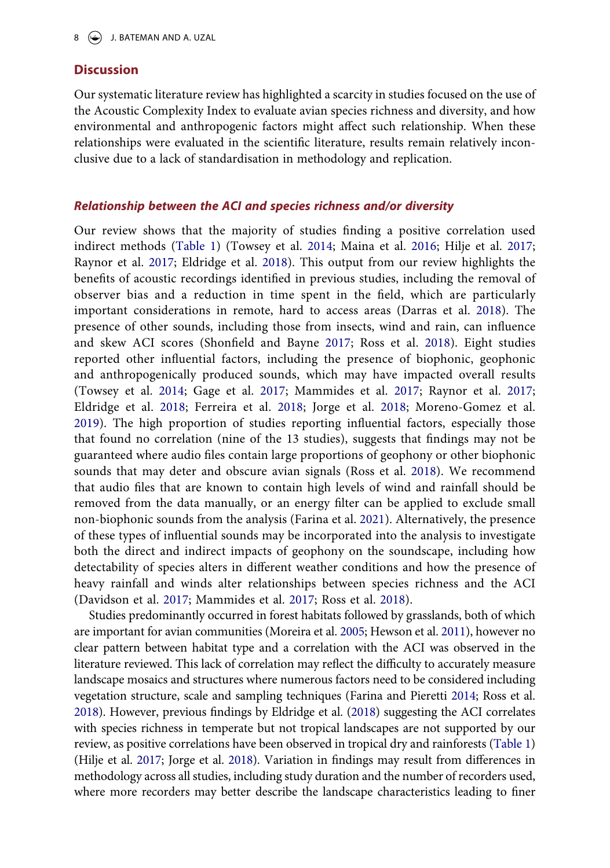## **Discussion**

Our systematic literature review has highlighted a scarcity in studies focused on the use of the Acoustic Complexity Index to evaluate avian species richness and diversity, and how environmental and anthropogenic factors might affect such relationship. When these relationships were evaluated in the scientific literature, results remain relatively inconclusive due to a lack of standardisation in methodology and replication.

### *Relationship between the ACI and species richness and/or diversity*

<span id="page-8-0"></span>Our review shows that the majority of studies finding a positive correlation used indirect methods [\(Table 1\)](#page-6-0) (Towsey et al. [2014](#page-13-10); Maina et al. [2016](#page-12-14); Hilje et al. [2017;](#page-12-13) Raynor et al. [2017;](#page-13-11) Eldridge et al. [2018\)](#page-11-6). This output from our review highlights the benefits of acoustic recordings identified in previous studies, including the removal of observer bias and a reduction in time spent in the field, which are particularly important considerations in remote, hard to access areas (Darras et al. [2018\)](#page-11-16). The presence of other sounds, including those from insects, wind and rain, can influence and skew ACI scores (Shonfield and Bayne [2017;](#page-13-1) Ross et al. [2018](#page-13-2)). Eight studies reported other influential factors, including the presence of biophonic, geophonic and anthropogenically produced sounds, which may have impacted overall results (Towsey et al. [2014;](#page-13-10) Gage et al. [2017;](#page-12-8) Mammides et al. [2017](#page-12-12); Raynor et al. [2017;](#page-13-11) Eldridge et al. [2018;](#page-11-6) Ferreira et al. [2018](#page-12-9); Jorge et al. [2018;](#page-12-10) Moreno-Gomez et al. [2019](#page-12-11)). The high proportion of studies reporting influential factors, especially those that found no correlation (nine of the 13 studies), suggests that findings may not be guaranteed where audio files contain large proportions of geophony or other biophonic sounds that may deter and obscure avian signals (Ross et al. [2018\)](#page-13-2). We recommend that audio files that are known to contain high levels of wind and rainfall should be removed from the data manually, or an energy filter can be applied to exclude small non-biophonic sounds from the analysis (Farina et al. [2021](#page-12-16)). Alternatively, the presence of these types of influential sounds may be incorporated into the analysis to investigate both the direct and indirect impacts of geophony on the soundscape, including how detectability of species alters in different weather conditions and how the presence of heavy rainfall and winds alter relationships between species richness and the ACI (Davidson et al. [2017](#page-11-17); Mammides et al. [2017](#page-12-12); Ross et al. [2018\)](#page-13-2).

<span id="page-8-3"></span><span id="page-8-2"></span><span id="page-8-1"></span>Studies predominantly occurred in forest habitats followed by grasslands, both of which are important for avian communities (Moreira et al. [2005;](#page-12-17) Hewson et al. [2011\)](#page-12-18), however no clear pattern between habitat type and a correlation with the ACI was observed in the literature reviewed. This lack of correlation may reflect the difficulty to accurately measure landscape mosaics and structures where numerous factors need to be considered including vegetation structure, scale and sampling techniques (Farina and Pieretti [2014;](#page-11-15) Ross et al. [2018\)](#page-13-2). However, previous findings by Eldridge et al. [\(2018\)](#page-11-6) suggesting the ACI correlates with species richness in temperate but not tropical landscapes are not supported by our review, as positive correlations have been observed in tropical dry and rainforests [\(Table 1\)](#page-6-0) (Hilje et al. [2017](#page-12-13); Jorge et al. [2018](#page-12-10)). Variation in findings may result from differences in methodology across all studies, including study duration and the number of recorders used, where more recorders may better describe the landscape characteristics leading to finer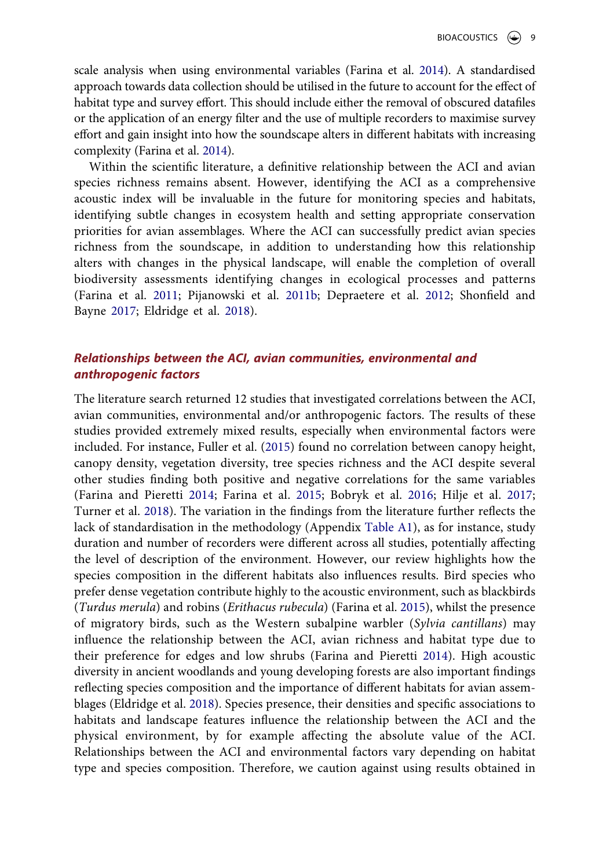scale analysis when using environmental variables (Farina et al. [2014](#page-12-19)). A standardised approach towards data collection should be utilised in the future to account for the effect of habitat type and survey effort. This should include either the removal of obscured datafiles or the application of an energy filter and the use of multiple recorders to maximise survey effort and gain insight into how the soundscape alters in different habitats with increasing complexity (Farina et al. [2014\)](#page-12-19).

<span id="page-9-0"></span>Within the scientific literature, a definitive relationship between the ACI and avian species richness remains absent. However, identifying the ACI as a comprehensive acoustic index will be invaluable in the future for monitoring species and habitats, identifying subtle changes in ecosystem health and setting appropriate conservation priorities for avian assemblages. Where the ACI can successfully predict avian species richness from the soundscape, in addition to understanding how this relationship alters with changes in the physical landscape, will enable the completion of overall biodiversity assessments identifying changes in ecological processes and patterns (Farina et al. [2011](#page-12-4); Pijanowski et al. [2011b;](#page-13-9) Depraetere et al. [2012](#page-11-4); Shonfield and Bayne [2017](#page-13-1); Eldridge et al. [2018](#page-11-6)).

# *Relationships between the ACI, avian communities, environmental and anthropogenic factors*

The literature search returned 12 studies that investigated correlations between the ACI, avian communities, environmental and/or anthropogenic factors. The results of these studies provided extremely mixed results, especially when environmental factors were included. For instance, Fuller et al. ([2015\)](#page-12-0) found no correlation between canopy height, canopy density, vegetation diversity, tree species richness and the ACI despite several other studies finding both positive and negative correlations for the same variables (Farina and Pieretti [2014](#page-11-15); Farina et al. [2015](#page-11-8); Bobryk et al. [2016;](#page-11-13) Hilje et al. [2017;](#page-12-13) Turner et al. [2018\)](#page-13-12). The variation in the findings from the literature further reflects the lack of standardisation in the methodology (Appendix [Table A1\)](#page-14-0), as for instance, study duration and number of recorders were different across all studies, potentially affecting the level of description of the environment. However, our review highlights how the species composition in the different habitats also influences results. Bird species who prefer dense vegetation contribute highly to the acoustic environment, such as blackbirds (*Turdus merula*) and robins (*Erithacus rubecula*) (Farina et al. [2015](#page-11-8)), whilst the presence of migratory birds, such as the Western subalpine warbler (*Sylvia cantillans*) may influence the relationship between the ACI, avian richness and habitat type due to their preference for edges and low shrubs (Farina and Pieretti [2014](#page-11-15)). High acoustic diversity in ancient woodlands and young developing forests are also important findings reflecting species composition and the importance of different habitats for avian assemblages (Eldridge et al. [2018](#page-11-6)). Species presence, their densities and specific associations to habitats and landscape features influence the relationship between the ACI and the physical environment, by for example affecting the absolute value of the ACI. Relationships between the ACI and environmental factors vary depending on habitat type and species composition. Therefore, we caution against using results obtained in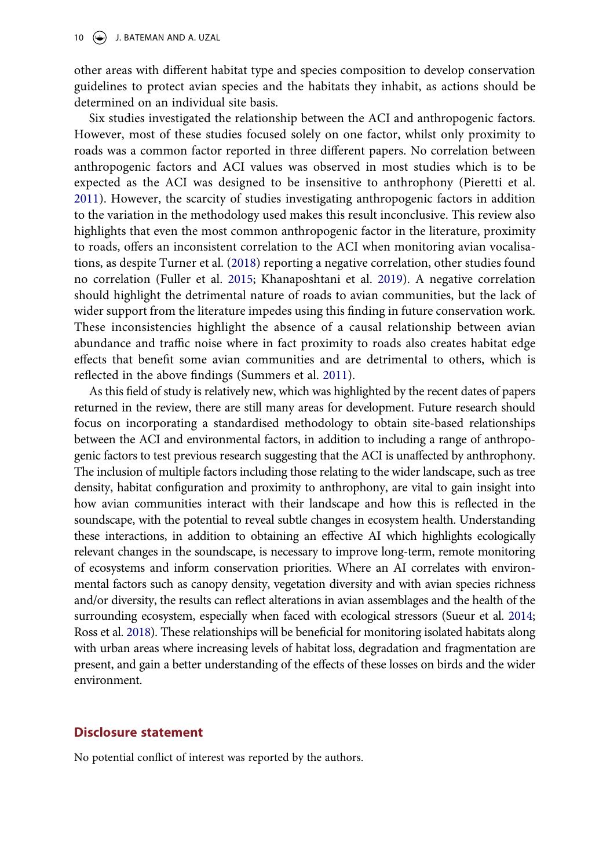other areas with different habitat type and species composition to develop conservation guidelines to protect avian species and the habitats they inhabit, as actions should be determined on an individual site basis.

Six studies investigated the relationship between the ACI and anthropogenic factors. However, most of these studies focused solely on one factor, whilst only proximity to roads was a common factor reported in three different papers. No correlation between anthropogenic factors and ACI values was observed in most studies which is to be expected as the ACI was designed to be insensitive to anthrophony (Pieretti et al. [2011](#page-13-0)). However, the scarcity of studies investigating anthropogenic factors in addition to the variation in the methodology used makes this result inconclusive. This review also highlights that even the most common anthropogenic factor in the literature, proximity to roads, offers an inconsistent correlation to the ACI when monitoring avian vocalisations, as despite Turner et al. [\(2018](#page-13-12)) reporting a negative correlation, other studies found no correlation (Fuller et al. [2015;](#page-12-0) Khanaposhtani et al. [2019\)](#page-12-15). A negative correlation should highlight the detrimental nature of roads to avian communities, but the lack of wider support from the literature impedes using this finding in future conservation work. These inconsistencies highlight the absence of a causal relationship between avian abundance and traffic noise where in fact proximity to roads also creates habitat edge effects that benefit some avian communities and are detrimental to others, which is reflected in the above findings (Summers et al. [2011](#page-13-14)).

<span id="page-10-1"></span>As this field of study is relatively new, which was highlighted by the recent dates of papers returned in the review, there are still many areas for development. Future research should focus on incorporating a standardised methodology to obtain site-based relationships between the ACI and environmental factors, in addition to including a range of anthropogenic factors to test previous research suggesting that the ACI is unaffected by anthrophony. The inclusion of multiple factors including those relating to the wider landscape, such as tree density, habitat configuration and proximity to anthrophony, are vital to gain insight into how avian communities interact with their landscape and how this is reflected in the soundscape, with the potential to reveal subtle changes in ecosystem health. Understanding these interactions, in addition to obtaining an effective AI which highlights ecologically relevant changes in the soundscape, is necessary to improve long-term, remote monitoring of ecosystems and inform conservation priorities. Where an AI correlates with environmental factors such as canopy density, vegetation diversity and with avian species richness and/or diversity, the results can reflect alterations in avian assemblages and the health of the surrounding ecosystem, especially when faced with ecological stressors (Sueur et al. [2014;](#page-13-15) Ross et al. [2018\)](#page-13-2). These relationships will be beneficial for monitoring isolated habitats along with urban areas where increasing levels of habitat loss, degradation and fragmentation are present, and gain a better understanding of the effects of these losses on birds and the wider environment.

# <span id="page-10-0"></span>**Disclosure statement**

No potential conflict of interest was reported by the authors.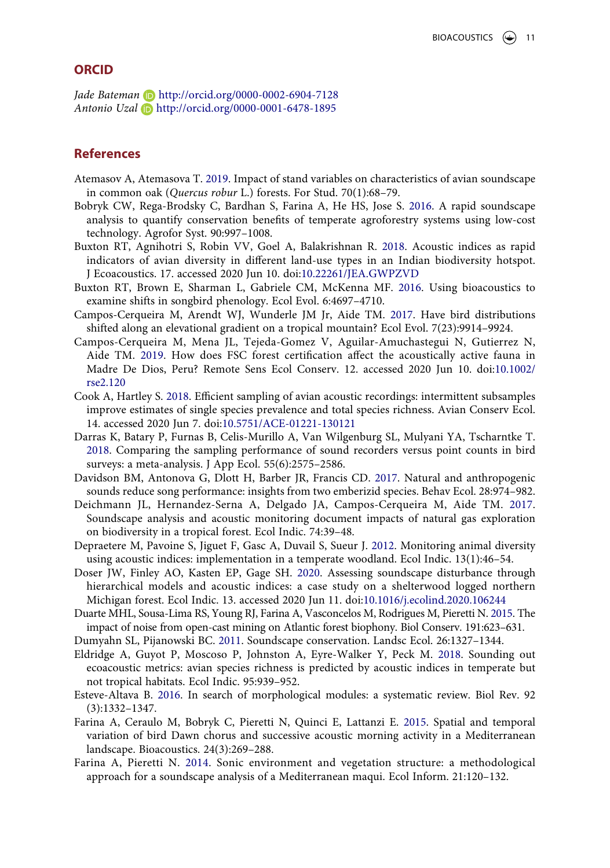### **ORCID**

*Jade Bateman* http://orcid.org/0000-0002-6904-7128 *Antonio Uzal* http://orcid.org/0000-0001-6478-1895

# **References**

- <span id="page-11-11"></span>Atemasov A, Atemasova T. [2019.](#page-6-1) Impact of stand variables on characteristics of avian soundscape in common oak (*Quercus robur* L.) forests. For Stud. 70(1):68–79.
- <span id="page-11-13"></span>Bobryk CW, Rega-Brodsky C, Bardhan S, Farina A, He HS, Jose S. [2016](#page-7-2). A rapid soundscape analysis to quantify conservation benefits of temperate agroforestry systems using low-cost technology. Agrofor Syst. 90:997–1008.
- <span id="page-11-10"></span>Buxton RT, Agnihotri S, Robin VV, Goel A, Balakrishnan R. [2018](#page-5-0). Acoustic indices as rapid indicators of avian diversity in different land-use types in an Indian biodiversity hotspot. J Ecoacoustics. 17. accessed 2020 Jun 10. doi:[10.22261/JEA.GWPZVD](https://doi.org/10.22261/JEA.GWPZVD)
- <span id="page-11-7"></span>Buxton RT, Brown E, Sharman L, Gabriele CM, McKenna MF. [2016.](#page-3-0) Using bioacoustics to examine shifts in songbird phenology. Ecol Evol. 6:4697–4710.
- <span id="page-11-1"></span>Campos-Cerqueira M, Arendt WJ, Wunderle JM Jr, Aide TM. [2017](#page-1-0). Have bird distributions shifted along an elevational gradient on a tropical mountain? Ecol Evol. 7(23):9914–9924.
- <span id="page-11-0"></span>Campos-Cerqueira M, Mena JL, Tejeda-Gomez V, Aguilar-Amuchastegui N, Gutierrez N, Aide TM. [2019](#page-1-0). How does FSC forest certification affect the acoustically active fauna in Madre De Dios, Peru? Remote Sens Ecol Conserv. 12. accessed 2020 Jun 10. doi:[10.1002/](https://doi.org/10.1002/rse2.120) [rse2.120](https://doi.org/10.1002/rse2.120)
- <span id="page-11-5"></span>Cook A, Hartley S. [2018.](#page-2-0) Efficient sampling of avian acoustic recordings: intermittent subsamples improve estimates of single species prevalence and total species richness. Avian Conserv Ecol. 14. accessed 2020 Jun 7. doi:[10.5751/ACE-01221-130121](https://doi.org/10.5751/ACE-01221-130121)
- <span id="page-11-16"></span>Darras K, Batary P, Furnas B, Celis-Murillo A, Van Wilgenburg SL, Mulyani YA, Tscharntke T. [2018](#page-8-0). Comparing the sampling performance of sound recorders versus point counts in bird surveys: a meta-analysis. J App Ecol. 55(6):2575–2586.
- <span id="page-11-17"></span>Davidson BM, Antonova G, Dlott H, Barber JR, Francis CD. [2017.](#page-8-1) Natural and anthropogenic sounds reduce song performance: insights from two emberizid species. Behav Ecol. 28:974–982.
- <span id="page-11-2"></span>Deichmann JL, Hernandez-Serna A, Delgado JA, Campos-Cerqueira M, Aide TM. [2017](#page-1-0). Soundscape analysis and acoustic monitoring document impacts of natural gas exploration on biodiversity in a tropical forest. Ecol Indic. 74:39–48.
- <span id="page-11-4"></span>Depraetere M, Pavoine S, Jiguet F, Gasc A, Duvail S, Sueur J. [2012.](#page-2-1) Monitoring animal diversity using acoustic indices: implementation in a temperate woodland. Ecol Indic. 13(1):46–54.
- <span id="page-11-14"></span>Doser JW, Finley AO, Kasten EP, Gage SH. [2020.](#page-7-3) Assessing soundscape disturbance through hierarchical models and acoustic indices: a case study on a shelterwood logged northern Michigan forest. Ecol Indic. 13. accessed 2020 Jun 11. doi:[10.1016/j.ecolind.2020.106244](https://doi.org/10.1016/j.ecolind.2020.106244)
- <span id="page-11-12"></span>Duarte MHL, Sousa-Lima RS, Young RJ, Farina A, Vasconcelos M, Rodrigues M, Pieretti N. [2015.](#page-7-4) The impact of noise from open-cast mining on Atlantic forest biophony. Biol Conserv. 191:623–631.
- <span id="page-11-3"></span>Dumyahn SL, Pijanowski BC. [2011](#page-2-2). Soundscape conservation. Landsc Ecol. 26:1327–1344.
- <span id="page-11-6"></span>Eldridge A, Guyot P, Moscoso P, Johnston A, Eyre-Walker Y, Peck M. [2018.](#page-2-3) Sounding out ecoacoustic metrics: avian species richness is predicted by acoustic indices in temperate but not tropical habitats. Ecol Indic. 95:939–952.
- <span id="page-11-9"></span>Esteve-Altava B. [2016.](#page-4-0) In search of morphological modules: a systematic review. Biol Rev. 92 (3):1332–1347.
- <span id="page-11-8"></span>Farina A, Ceraulo M, Bobryk C, Pieretti N, Quinci E, Lattanzi E. [2015.](#page-3-1) Spatial and temporal variation of bird Dawn chorus and successive acoustic morning activity in a Mediterranean landscape. Bioacoustics. 24(3):269–288.
- <span id="page-11-15"></span>Farina A, Pieretti N. [2014.](#page-7-5) Sonic environment and vegetation structure: a methodological approach for a soundscape analysis of a Mediterranean maqui. Ecol Inform. 21:120–132.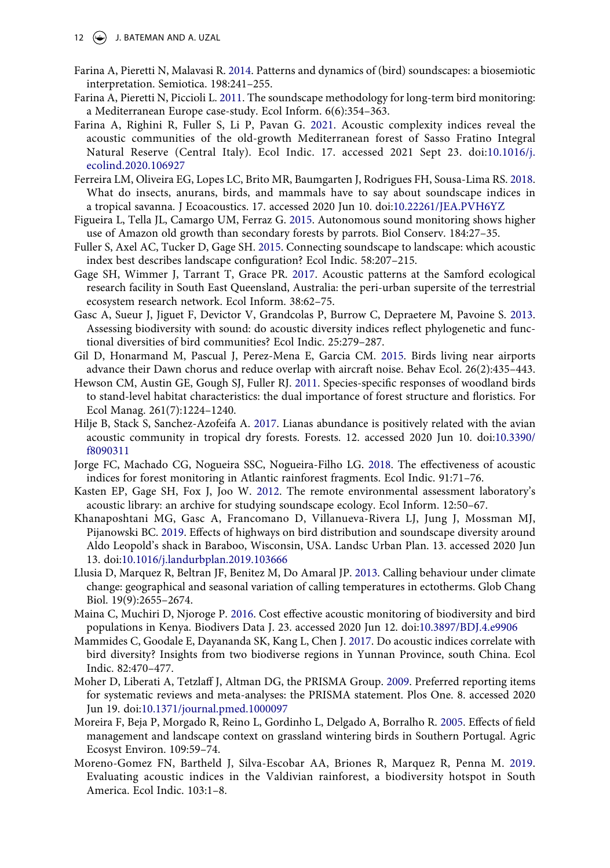- 12  $\left(\rightarrow\right)$  J. BATEMAN AND A. UZAL
- <span id="page-12-19"></span>Farina A, Pieretti N, Malavasi R. [2014](#page-9-0). Patterns and dynamics of (bird) soundscapes: a biosemiotic interpretation. Semiotica. 198:241–255.
- <span id="page-12-4"></span>Farina A, Pieretti N, Piccioli L. [2011.](#page-2-0) The soundscape methodology for long-term bird monitoring: a Mediterranean Europe case-study. Ecol Inform. 6(6):354–363.
- <span id="page-12-16"></span>Farina A, Righini R, Fuller S, Li P, Pavan G. [2021.](#page-8-2) Acoustic complexity indices reveal the acoustic communities of the old-growth Mediterranean forest of Sasso Fratino Integral Natural Reserve (Central Italy). Ecol Indic. 17. accessed 2021 Sept 23. doi:[10.1016/j.](https://doi.org/10.1016/j.ecolind.2020.106927) [ecolind.2020.106927](https://doi.org/10.1016/j.ecolind.2020.106927)
- <span id="page-12-9"></span>Ferreira LM, Oliveira EG, Lopes LC, Brito MR, Baumgarten J, Rodrigues FH, Sousa-Lima RS. [2018](#page-5-0). What do insects, anurans, birds, and mammals have to say about soundscape indices in a tropical savanna. J Ecoacoustics. 17. accessed 2020 Jun 10. doi:[10.22261/JEA.PVH6YZ](https://doi.org/10.22261/JEA.PVH6YZ)
- <span id="page-12-2"></span>Figueira L, Tella JL, Camargo UM, Ferraz G. [2015](#page-2-4). Autonomous sound monitoring shows higher use of Amazon old growth than secondary forests by parrots. Biol Conserv. 184:27–35.
- <span id="page-12-0"></span>Fuller S, Axel AC, Tucker D, Gage SH. [2015](#page-1-0). Connecting soundscape to landscape: which acoustic index best describes landscape configuration? Ecol Indic. 58:207–215.
- <span id="page-12-8"></span>Gage SH, Wimmer J, Tarrant T, Grace PR. [2017.](#page-5-1) Acoustic patterns at the Samford ecological research facility in South East Queensland, Australia: the peri-urban supersite of the terrestrial ecosystem research network. Ecol Inform. 38:62–75.
- <span id="page-12-5"></span>Gasc A, Sueur J, Jiguet F, Devictor V, Grandcolas P, Burrow C, Depraetere M, Pavoine S. [2013](#page-2-5). Assessing biodiversity with sound: do acoustic diversity indices reflect phylogenetic and functional diversities of bird communities? Ecol Indic. 25:279–287.
- <span id="page-12-3"></span>Gil D, Honarmand M, Pascual J, Perez-Mena E, Garcia CM. [2015.](#page-2-4) Birds living near airports advance their Dawn chorus and reduce overlap with aircraft noise. Behav Ecol. 26(2):435–443.
- <span id="page-12-18"></span>Hewson CM, Austin GE, Gough SJ, Fuller RJ. [2011.](#page-8-3) Species-specific responses of woodland birds to stand-level habitat characteristics: the dual importance of forest structure and floristics. For Ecol Manag. 261(7):1224–1240.
- <span id="page-12-13"></span>Hilje B, Stack S, Sanchez-Azofeifa A. [2017.](#page-6-2) Lianas abundance is positively related with the avian acoustic community in tropical dry forests. Forests. 12. accessed 2020 Jun 10. doi:[10.3390/](https://doi.org/10.3390/f8090311) [f8090311](https://doi.org/10.3390/f8090311)
- <span id="page-12-10"></span>Jorge FC, Machado CG, Nogueira SSC, Nogueira-Filho LG. [2018](#page-5-2). The effectiveness of acoustic indices for forest monitoring in Atlantic rainforest fragments. Ecol Indic. 91:71–76.
- <span id="page-12-6"></span>Kasten EP, Gage SH, Fox J, Joo W. [2012.](#page-3-2) The remote environmental assessment laboratory's acoustic library: an archive for studying soundscape ecology. Ecol Inform. 12:50–67.
- <span id="page-12-15"></span>Khanaposhtani MG, Gasc A, Francomano D, Villanueva-Rivera LJ, Jung J, Mossman MJ, Pijanowski BC. [2019.](#page-7-6) Effects of highways on bird distribution and soundscape diversity around Aldo Leopold's shack in Baraboo, Wisconsin, USA. Landsc Urban Plan. 13. accessed 2020 Jun 13. doi:[10.1016/j.landurbplan.2019.103666](https://doi.org/10.1016/j.landurbplan.2019.103666)
- <span id="page-12-1"></span>Llusia D, Marquez R, Beltran JF, Benitez M, Do Amaral JP. [2013](#page-2-6). Calling behaviour under climate change: geographical and seasonal variation of calling temperatures in ectotherms. Glob Chang Biol. 19(9):2655–2674.
- <span id="page-12-14"></span>Maina C, Muchiri D, Njoroge P. [2016.](#page-6-3) Cost effective acoustic monitoring of biodiversity and bird populations in Kenya. Biodivers Data J. 23. accessed 2020 Jun 12. doi:[10.3897/BDJ.4.e9906](https://doi.org/10.3897/BDJ.4.e9906)
- <span id="page-12-12"></span>Mammides C, Goodale E, Dayananda SK, Kang L, Chen J. [2017](#page-5-1). Do acoustic indices correlate with bird diversity? Insights from two biodiverse regions in Yunnan Province, south China. Ecol Indic. 82:470–477.
- <span id="page-12-7"></span>Moher D, Liberati A, Tetzlaff J, Altman DG, the PRISMA Group. [2009](#page-4-1). Preferred reporting items for systematic reviews and meta-analyses: the PRISMA statement. Plos One. 8. accessed 2020 Jun 19. doi:[10.1371/journal.pmed.1000097](https://doi.org/10.1371/journal.pmed.1000097)
- <span id="page-12-17"></span>Moreira F, Beja P, Morgado R, Reino L, Gordinho L, Delgado A, Borralho R. [2005.](#page-8-3) Effects of field management and landscape context on grassland wintering birds in Southern Portugal. Agric Ecosyst Environ. 109:59–74.
- <span id="page-12-11"></span>Moreno-Gomez FN, Bartheld J, Silva-Escobar AA, Briones R, Marquez R, Penna M. [2019.](#page-5-3) Evaluating acoustic indices in the Valdivian rainforest, a biodiversity hotspot in South America. Ecol Indic. 103:1–8.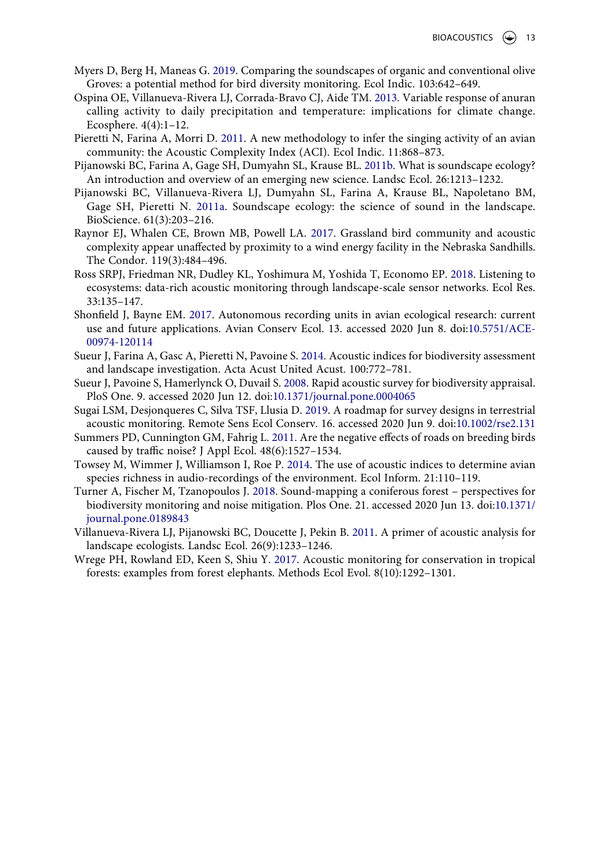- <span id="page-13-13"></span>Myers D, Berg H, Maneas G. [2019](#page-7-7). Comparing the soundscapes of organic and conventional olive Groves: a potential method for bird diversity monitoring. Ecol Indic. 103:642–649.
- <span id="page-13-5"></span>Ospina OE, Villanueva-Rivera LJ, Corrada-Bravo CJ, Aide TM. [2013](#page-1-0). Variable response of anuran calling activity to daily precipitation and temperature: implications for climate change. Ecosphere. 4(4):1–12.
- <span id="page-13-0"></span>Pieretti N, Farina A, Morri D. [2011](#page-1-1). A new methodology to infer the singing activity of an avian community: the Acoustic Complexity Index (ACI). Ecol Indic. 11:868–873.
- <span id="page-13-9"></span>Pijanowski BC, Farina A, Gage SH, Dumyahn SL, Krause BL. [2011b.](#page-3-2) What is soundscape ecology? An introduction and overview of an emerging new science. Landsc Ecol. 26:1213–1232.
- <span id="page-13-4"></span>Pijanowski BC, Villanueva-Rivera LJ, Dumyahn SL, Farina A, Krause BL, Napoletano BM, Gage SH, Pieretti N. [2011a.](#page-1-2) Soundscape ecology: the science of sound in the landscape. BioScience. 61(3):203–216.
- <span id="page-13-11"></span>Raynor EJ, Whalen CE, Brown MB, Powell LA. [2017.](#page-5-2) Grassland bird community and acoustic complexity appear unaffected by proximity to a wind energy facility in the Nebraska Sandhills. The Condor. 119(3):484–496.
- <span id="page-13-2"></span>Ross SRPJ, Friedman NR, Dudley KL, Yoshimura M, Yoshida T, Economo EP. [2018.](#page-1-1) Listening to ecosystems: data-rich acoustic monitoring through landscape-scale sensor networks. Ecol Res. 33:135–147.
- <span id="page-13-1"></span>Shonfield J, Bayne EM. [2017](#page-1-3). Autonomous recording units in avian ecological research: current use and future applications. Avian Conserv Ecol. 13. accessed 2020 Jun 8. doi:[10.5751/ACE-](https://doi.org/10.5751/ACE-00974-120114)[00974-120114](https://doi.org/10.5751/ACE-00974-120114)
- <span id="page-13-15"></span>Sueur J, Farina A, Gasc A, Pieretti N, Pavoine S. [2014.](#page-10-0) Acoustic indices for biodiversity assessment and landscape investigation. Acta Acust United Acust. 100:772–781.
- <span id="page-13-7"></span>Sueur J, Pavoine S, Hamerlynck O, Duvail S. [2008.](#page-2-5) Rapid acoustic survey for biodiversity appraisal. PloS One. 9. accessed 2020 Jun 12. doi:[10.1371/journal.pone.0004065](https://doi.org/10.1371/journal.pone.0004065)
- <span id="page-13-3"></span>Sugai LSM, Desjonqueres C, Silva TSF, Llusia D. [2019](#page-1-4). A roadmap for survey designs in terrestrial acoustic monitoring. Remote Sens Ecol Conserv. 16. accessed 2020 Jun 9. doi:[10.1002/rse2.131](https://doi.org/10.1002/rse2.131)
- <span id="page-13-14"></span>Summers PD, Cunnington GM, Fahrig L. [2011](#page-10-1). Are the negative effects of roads on breeding birds caused by traffic noise? J Appl Ecol. 48(6):1527–1534.
- <span id="page-13-10"></span>Towsey M, Wimmer J, Williamson I, Roe P. [2014.](#page-3-2) The use of acoustic indices to determine avian species richness in audio-recordings of the environment. Ecol Inform. 21:110–119.
- <span id="page-13-12"></span>Turner A, Fischer M, Tzanopoulos J. [2018.](#page-7-8) Sound-mapping a coniferous forest – perspectives for biodiversity monitoring and noise mitigation. Plos One. 21. accessed 2020 Jun 13. doi:[10.1371/](https://doi.org/10.1371/journal.pone.0189843) [journal.pone.0189843](https://doi.org/10.1371/journal.pone.0189843)
- <span id="page-13-8"></span>Villanueva-Rivera LJ, Pijanowski BC, Doucette J, Pekin B. [2011](#page-3-3). A primer of acoustic analysis for landscape ecologists. Landsc Ecol. 26(9):1233–1246.
- <span id="page-13-6"></span>Wrege PH, Rowland ED, Keen S, Shiu Y. [2017](#page-1-3). Acoustic monitoring for conservation in tropical forests: examples from forest elephants. Methods Ecol Evol. 8(10):1292–1301.